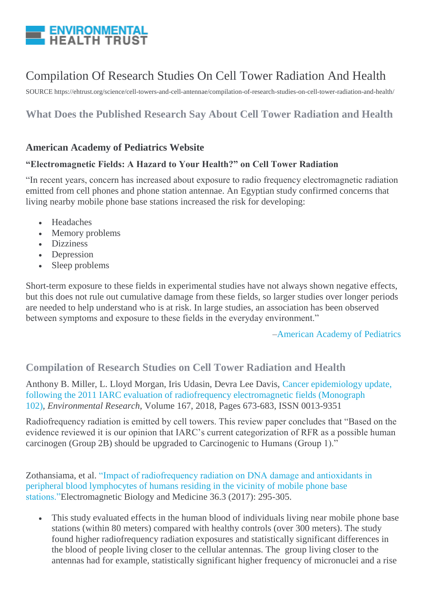

# Compilation Of Research Studies On Cell Tower Radiation And Health

SOURCE https://ehtrust.org/science/cell-towers-and-cell-antennae/compilation-of-research-studies-on-cell-tower-radiation-and-health/

# **What Does the Published Research Say About Cell Tower Radiation and Health**

#### **American Academy of Pediatrics Website**

#### **"Electromagnetic Fields: A Hazard to Your Health?" on Cell Tower Radiation**

"In recent years, concern has increased about exposure to radio frequency electromagnetic radiation emitted from cell phones and phone station antennae. An Egyptian study confirmed concerns that living nearby mobile phone base stations increased the risk for developing:

- Headaches
- Memory problems
- Dizziness
- Depression
- Sleep problems

Short-term exposure to these fields in experimental studies have not always shown negative effects, but this does not rule out cumulative damage from these fields, so larger studies over longer periods are needed to help understand who is at risk. In large studies, an association has been observed between symptoms and exposure to these fields in the everyday environment."

[–American Academy of Pediatrics](https://www.healthychildren.org/English/safety-prevention/all-around/Pages/Electromagnetic-Fields-A-Hazard-to-Your-Health.aspx)

### **Compilation of Research Studies on Cell Tower Radiation and Health**

Anthony B. Miller, L. Lloyd Morgan, Iris Udasin, Devra Lee Davis, [Cancer epidemiology update,](http://www.sciencedirect.com/science/article/pii/S0013935118303475)  [following the 2011 IARC evaluation of radiofrequency electromagnetic fields \(Monograph](http://www.sciencedirect.com/science/article/pii/S0013935118303475)  [102\),](http://www.sciencedirect.com/science/article/pii/S0013935118303475) *Environmental Research*, Volume 167, 2018, Pages 673-683, ISSN 0013-9351

Radiofrequency radiation is emitted by cell towers. This review paper concludes that "Based on the evidence reviewed it is our opinion that IARC's current categorization of RFR as a possible human carcinogen (Group 2B) should be upgraded to Carcinogenic to Humans (Group 1)."

Zothansiama, et al. ["Impact of radiofrequency radiation on DNA damage and antioxidants in](http://www.tandfonline.com/doi/abs/10.1080/15368378.2017.1350584)  [peripheral blood lymphocytes of humans residing in the vicinity](http://www.tandfonline.com/doi/abs/10.1080/15368378.2017.1350584) of mobile phone base [stations."E](http://www.tandfonline.com/doi/abs/10.1080/15368378.2017.1350584)lectromagnetic Biology and Medicine 36.3 (2017): 295-305.

 This study evaluated effects in the human blood of individuals living near mobile phone base stations (within 80 meters) compared with healthy controls (over 300 meters). The study found higher radiofrequency radiation exposures and statistically significant differences in the blood of people living closer to the cellular antennas. The group living closer to the antennas had for example, statistically significant higher frequency of micronuclei and a rise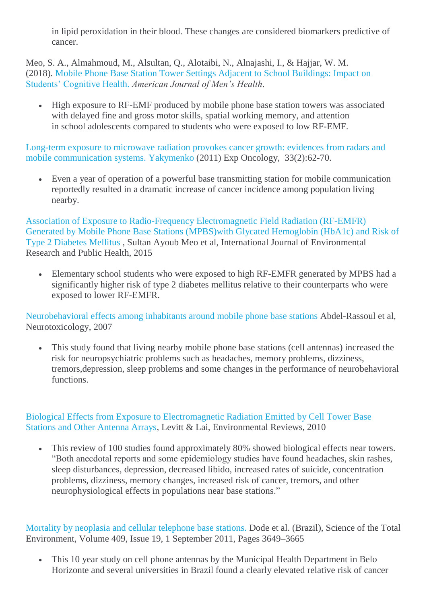in lipid peroxidation in their blood. These changes are considered biomarkers predictive of cancer.

Meo, S. A., Almahmoud, M., Alsultan, Q., Alotaibi, N., Alnajashi, I., & Hajjar, W. M. (2018). [Mobile Phone Base Station Tower Settings Adjacent to School Buildings: Impact on](https://www.ncbi.nlm.nih.gov/pubmed/?term=Mobile+Phone+Base+Station+Tower+Settings+Adjacent+to+School+Buildings%3A+Impact+on+Students%E2%80%99+Cognitive+Health)  [Students' Cognitive Health.](https://www.ncbi.nlm.nih.gov/pubmed/?term=Mobile+Phone+Base+Station+Tower+Settings+Adjacent+to+School+Buildings%3A+Impact+on+Students%E2%80%99+Cognitive+Health) *American Journal of Men's Health*.

 High exposure to RF-EMF produced by mobile phone base station towers was associated with delayed fine and gross motor skills, spatial working memory, and attention in school adolescents compared to students who were exposed to low RF-EMF.

[Long-term exposure to microwave radiation provokes cancer growth: evidences from radars and](http://www.ncbi.nlm.nih.gov/pubmed/21716201)  [mobile communication systems.](http://www.ncbi.nlm.nih.gov/pubmed/21716201) [Yakymenko](http://www.ncbi.nlm.nih.gov/pubmed?term=Yakymenko%20I%5BAuthor%5D&cauthor=true&cauthor_uid=21716201) (2011) Exp Oncology, 33(2):62-70.

 Even a year of operation of a powerful base transmitting station for mobile communication reportedly resulted in a dramatic increase of cancer incidence among population living nearby.

[Association of Exposure to Radio-Frequency Electromagnetic Field Radiation \(RF-EMFR\)](https://www.researchgate.net/publication/283726472_Association_of_Exposure_to_Radio-Frequency_Electromagnetic_Field_Radiation_RF-EMFR_Generated_by_Mobile_Phone_Base_Stations_with_Glycated_Hemoglobin_HbA1c_and_Risk_of_Type_2_Diabetes_Mellitus)  [Generated by Mobile Phone Base Stations \(MPBS\)with Glycated Hemoglobin \(HbA1c\) and Risk of](https://www.researchgate.net/publication/283726472_Association_of_Exposure_to_Radio-Frequency_Electromagnetic_Field_Radiation_RF-EMFR_Generated_by_Mobile_Phone_Base_Stations_with_Glycated_Hemoglobin_HbA1c_and_Risk_of_Type_2_Diabetes_Mellitus)  [Type 2 Diabetes Mellitus](https://www.researchgate.net/publication/283726472_Association_of_Exposure_to_Radio-Frequency_Electromagnetic_Field_Radiation_RF-EMFR_Generated_by_Mobile_Phone_Base_Stations_with_Glycated_Hemoglobin_HbA1c_and_Risk_of_Type_2_Diabetes_Mellitus) , Sultan Ayoub Meo et al, International Journal of Environmental Research and Public Health, 2015

 Elementary school students who were exposed to high RF-EMFR generated by MPBS had a significantly higher risk of type 2 diabetes mellitus relative to their counterparts who were exposed to lower RF-EMFR.

[Neurobehavioral effects among inhabitants around mobile phone base stations](http://www.ncbi.nlm.nih.gov/pubmed/16962663) Abdel-Rassoul et al, Neurotoxicology, 2007

 This study found that living nearby mobile phone base stations (cell antennas) increased the risk for neuropsychiatric problems such as headaches, memory problems, dizziness, tremors,depression, sleep problems and some changes in the performance of neurobehavioral functions.

[Biological Effects from Exposure to Electromagnetic Radiation Emitted by Cell Tower Base](http://www.researchgate.net/publication/233593841_Biological_effects_from_exposure_to_electromagnetic_radiation_emitted_by_cell_tower_base_stations_and_other_antenna_arrays)  [Stations and Other Antenna Arrays,](http://www.researchgate.net/publication/233593841_Biological_effects_from_exposure_to_electromagnetic_radiation_emitted_by_cell_tower_base_stations_and_other_antenna_arrays) Levitt & Lai, Environmental Reviews, 2010

 This review of 100 studies found approximately 80% showed biological effects near towers. "Both anecdotal reports and some epidemiology studies have found headaches, skin rashes, sleep disturbances, depression, decreased libido, increased rates of suicide, concentration problems, dizziness, memory changes, increased risk of cancer, tremors, and other neurophysiological effects in populations near base stations."

[Mortality by neoplasia and cellular telephone base stations.](http://www.sciencedirect.com/science/article/pii/S0048969711005754) Dode et al. (Brazil), Science of the Total Environment, Volume 409, Issue 19, 1 September 2011, Pages 3649–3665

 This 10 year study on cell phone antennas by the Municipal Health Department in Belo Horizonte and several universities in Brazil found a clearly elevated relative risk of cancer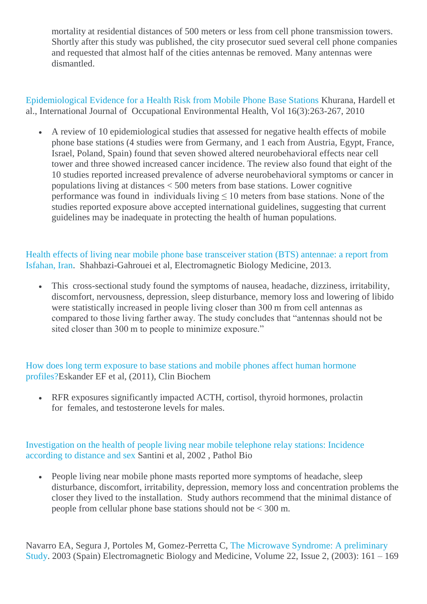mortality at residential distances of 500 meters or less from cell phone transmission towers. Shortly after this study was published, the city prosecutor sued several cell phone companies and requested that almost half of the cities antennas be removed. Many antennas were dismantled.

[Epidemiological Evidence for a Health Risk from Mobile Phone Base Stations](http://www.researchgate.net/publication/45387389_Epidemiological_evidence_for_a_health_risk_from_mobile_phone_base_stations) Khurana, Hardell et al., International Journal of Occupational Environmental Health, Vol 16(3):263-267, 2010

 A review of 10 epidemiological studies that assessed for negative health effects of mobile phone base stations (4 studies were from Germany, and 1 each from Austria, Egypt, France, Israel, Poland, Spain) found that seven showed altered neurobehavioral effects near cell tower and three showed increased cancer incidence. The review also found that eight of the 10 studies reported increased prevalence of adverse neurobehavioral symptoms or cancer in populations living at distances < 500 meters from base stations. Lower cognitive performance was found in individuals living  $\leq 10$  meters from base stations. None of the studies reported exposure above accepted international guidelines, suggesting that current guidelines may be inadequate in protecting the health of human populations.

[Health effects of living near mobile phone base transceiver station \(BTS\) antennae: a report from](http://www.ncbi.nlm.nih.gov/pubmed/23781985)  [Isfahan, Iran.](http://www.ncbi.nlm.nih.gov/pubmed/23781985) Shahbazi-Gahrouei et al, Electromagnetic Biology Medicine, 2013.

 This cross-sectional study found the symptoms of nausea, headache, dizziness, irritability, discomfort, nervousness, depression, sleep disturbance, memory loss and lowering of libido were statistically increased in people living closer than 300 m from cell antennas as compared to those living farther away. The study concludes that "antennas should not be sited closer than 300 m to people to minimize exposure."

[How does long term exposure to base stations and mobile phones affect human hormone](http://www.ncbi.nlm.nih.gov/pubmed/22138021)  [profiles?E](http://www.ncbi.nlm.nih.gov/pubmed/22138021)skander EF et al, (2011), Clin Biochem

 RFR exposures significantly impacted ACTH, cortisol, thyroid hormones, prolactin for females, and testosterone levels for males.

[Investigation on the health of people living near mobile telephone relay stations: Incidence](http://www.ncbi.nlm.nih.gov/pubmed/12168254)  [according to distance and sex](http://www.ncbi.nlm.nih.gov/pubmed/12168254) Santini et al, 2002 , Pathol Bio

 People living near mobile phone masts reported more symptoms of headache, sleep disturbance, discomfort, irritability, depression, memory loss and concentration problems the closer they lived to the installation. Study authors recommend that the minimal distance of people from cellular phone base stations should not be < 300 m.

Navarro EA, Segura J, Portoles M, Gomez-Perretta C, [The Microwave Syndrome: A preliminary](http://www.emrpolicy.org/science/research/docs/navarro_ebm_2003.pdf)  [Study.](http://www.emrpolicy.org/science/research/docs/navarro_ebm_2003.pdf) 2003 (Spain) Electromagnetic Biology and Medicine, Volume 22, Issue 2, (2003): 161 – 169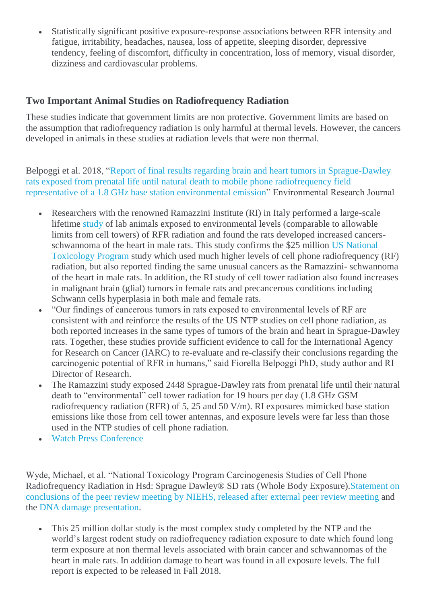Statistically significant positive exposure-response associations between RFR intensity and fatigue, irritability, headaches, nausea, loss of appetite, sleeping disorder, depressive tendency, feeling of discomfort, difficulty in concentration, loss of memory, visual disorder, dizziness and cardiovascular problems.

#### **Two Important Animal Studies on Radiofrequency Radiation**

These studies indicate that government limits are non protective. Government limits are based on the assumption that radiofrequency radiation is only harmful at thermal levels. However, the cancers developed in animals in these studies at radiation levels that were non thermal.

Belpoggi et al. 2018, ["Report of final results regarding brain and heart tumors in Sprague-Dawley](https://ehtrust.org/wp-content/uploads/Belpoggi-Heart-and-Brain-Tumors-Base-Station-2018-First-page-.pdf)  [rats exposed from prenatal life until natural death to mobile phone radiofrequency field](https://ehtrust.org/wp-content/uploads/Belpoggi-Heart-and-Brain-Tumors-Base-Station-2018-First-page-.pdf)  [representative of a 1.8 GHz base station environmental emission"](https://ehtrust.org/wp-content/uploads/Belpoggi-Heart-and-Brain-Tumors-Base-Station-2018-First-page-.pdf) Environmental Research Journal

- Researchers with the renowned Ramazzini Institute (RI) in Italy performed a large-scale lifetime [study](https://www.sciencedirect.com/science/article/pii/S0013935118300367?via%3Dihub) of lab animals exposed to environmental levels (comparable to allowable limits from cell towers) of RFR radiation and found the rats developed increased cancersschwannoma of the heart in male rats. This study confirms the \$25 million [US National](https://ntp.niehs.nih.gov/about/org/sep/trpanel/meetings/docs/2018/march/index.html)  [Toxicology Program](https://ntp.niehs.nih.gov/about/org/sep/trpanel/meetings/docs/2018/march/index.html) study which used much higher levels of cell phone radiofrequency (RF) radiation, but also reported finding the same unusual cancers as the Ramazzini- schwannoma of the heart in male rats. In addition, the RI study of cell tower radiation also found increases in malignant brain (glial) tumors in female rats and precancerous conditions including Schwann cells hyperplasia in both male and female rats.
- "Our findings of cancerous tumors in rats exposed to environmental levels of RF are consistent with and reinforce the results of the US NTP studies on cell phone radiation, as both reported increases in the same types of tumors of the brain and heart in Sprague-Dawley rats. Together, these studies provide sufficient evidence to call for the International Agency for Research on Cancer (IARC) to re-evaluate and re-classify their conclusions regarding the carcinogenic potential of RFR in humans," said Fiorella Belpoggi PhD, study author and RI Director of Research.
- The Ramazzini study exposed 2448 Sprague-Dawley rats from prenatal life until their natural death to "environmental" cell tower radiation for 19 hours per day (1.8 GHz GSM radiofrequency radiation (RFR) of 5, 25 and 50 V/m). RI exposures mimicked base station emissions like those from cell tower antennas, and exposure levels were far less than those used in the NTP studies of cell phone radiation.
- [Watch Press Conference](https://ehtrust.org/worlds-largest-animal-study-on-cell-tower-radiation-confirms-cancer-link/)

Wyde, Michael, et al. "National Toxicology Program Carcinogenesis Studies of Cell Phone Radiofrequency Radiation in Hsd: Sprague Dawley® SD rats (Whole Body Exposure)[.Statement on](https://ntp.niehs.nih.gov/ntp/about_ntp/trpanel/2018/march/actions20180328_508.pdf)  [conclusions of the peer review meeting by NIEHS, released after external peer review meeting](https://ntp.niehs.nih.gov/ntp/about_ntp/trpanel/2018/march/actions20180328_508.pdf) and the [DNA damage presentation.](https://ehtrust.org/wp-content/uploads/Evaluation-of-Genotoxicity-of-Cell-Phone-Radiofrequency-Radiation-in-Male-and-f-the-Genot-d-Female-notoxicity-e-Rats-and-y-Ce-d-Mice-ell-Ra-e-Following-g-Subchronic-ncy-c-Exposure-Poster-.pdf)

 This 25 million dollar study is the most complex study completed by the NTP and the world's largest rodent study on radiofrequency radiation exposure to date which found long term exposure at non thermal levels associated with brain cancer and schwannomas of the heart in male rats. In addition damage to heart was found in all exposure levels. The full report is expected to be released in Fall 2018.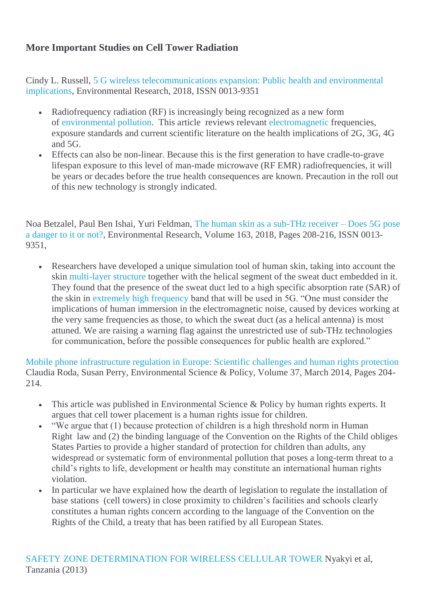## **More Important Studies on Cell Tower Radiation**

Cindy L. Russell, [5 G wireless telecommunications expansion: Public health and environmental](http://www.sciencedirect.com/science/article/pii/S0013935118300161)  [implications,](http://www.sciencedirect.com/science/article/pii/S0013935118300161) Environmental Research, 2018, ISSN 0013-9351

- Radiofrequency radiation (RF) is increasingly being recognized as a new form of [environmental pollution.](https://www.sciencedirect.com/topics/earth-and-planetary-sciences/environmental-pollution) This article reviews relevant [electromagnetic](https://www.sciencedirect.com/topics/earth-and-planetary-sciences/electromagnetism) frequencies, exposure standards and current scientific literature on the health implications of 2G, 3G, 4G and 5G.
- Effects can also be non-linear. Because this is the first generation to have cradle-to-grave lifespan exposure to this level of man-made microwave (RF EMR) radiofrequencies, it will be years or decades before the true health consequences are known. Precaution in the roll out of this new technology is strongly indicated.

Noa Betzalel, Paul Ben Ishai, Yuri Feldman, [The human skin as a sub-THz receiver –](http://www.sciencedirect.com/science/article/pii/S0013935118300331) Does 5G pose [a danger to it or not?,](http://www.sciencedirect.com/science/article/pii/S0013935118300331) Environmental Research, Volume 163, 2018, Pages 208-216, ISSN 0013- 9351,

 Researchers have developed a unique simulation tool of human skin, taking into account the skin [multi-layer structure](https://www.sciencedirect.com/topics/earth-and-planetary-sciences/laminates) together with the helical segment of the sweat duct embedded in it. They found that the presence of the sweat duct led to a high specific absorption rate (SAR) of the skin in [extremely high frequency](https://www.sciencedirect.com/topics/earth-and-planetary-sciences/extremely-high-frequencies) band that will be used in 5G. "One must consider the implications of human immersion in the electromagnetic noise, caused by devices working at the very same frequencies as those, to which the sweat duct (as a helical antenna) is most attuned. We are raising a warning flag against the unrestricted use of sub-THz technologies for communication, before the possible consequences for public health are explored."

[Mobile phone infrastructure regulation in Europe: Scientific challenges and human rights protection](http://www.sciencedirect.com/science/article/pii/S146290111300186X) Claudia Roda, Susan Perry, Environmental Science & Policy, Volume 37, March 2014, Pages 204-  $214$ 

- This article was published in Environmental Science & Policy by human rights experts. It argues that cell tower placement is a human rights issue for children.
- "We argue that (1) because protection of children is a high threshold norm in Human Right law and (2) the binding language of the Convention on the Rights of the Child obliges States Parties to provide a higher standard of protection for children than adults, any widespread or systematic form of environmental pollution that poses a long-term threat to a child's rights to life, development or health may constitute an international human rights violation.
- In particular we have explained how the dearth of legislation to regulate the installation of base stations (cell towers) in close proximity to children's facilities and schools clearly constitutes a human rights concern according to the language of the Convention on the Rights of the Child, a treaty that has been ratified by all European States.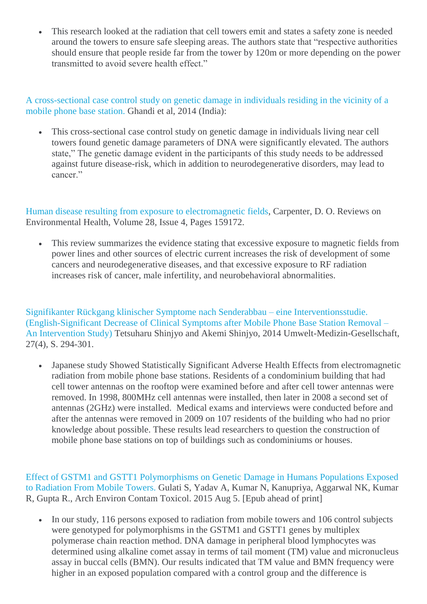This research looked at the radiation that cell towers emit and states a safety zone is needed around the towers to ensure safe sleeping areas. The authors state that "respective authorities should ensure that people reside far from the tower by 120m or more depending on the power transmitted to avoid severe health effect."

[A cross-sectional case control study on genetic damage in individuals residing in the vicinity of a](http://www.ncbi.nlm.nih.gov/pubmed/25006864)  [mobile phone base station.](http://www.ncbi.nlm.nih.gov/pubmed/25006864) Ghandi et al, 2014 (India):

 This cross-sectional case control study on genetic damage in individuals living near cell towers found genetic damage parameters of DNA were significantly elevated. The authors state," The genetic damage evident in the participants of this study needs to be addressed against future disease-risk, which in addition to neurodegenerative disorders, may lead to cancer."

[Human disease resulting from exposure to electromagnetic fields,](http://www.ncbi.nlm.nih.gov/pubmed/24280284) Carpenter, D. O. Reviews on Environmental Health, Volume 28, Issue 4, Pages 159172.

 This review summarizes the evidence stating that excessive exposure to magnetic fields from power lines and other sources of electric current increases the risk of development of some cancers and neurodegenerative diseases, and that excessive exposure to RF radiation increases risk of cancer, male infertility, and neurobehavioral abnormalities.

[Signifikanter Rückgang klinischer Symptome nach Senderabbau –](http://nebula.wsimg.com/d1e65ba8eb587c44cba6164dfef44ed2?AccessKeyId=045114F8E0676B9465FB&disposition=0&alloworigin=1) eine Interventionsstudie. [\(English-Significant Decrease of Clinical Symptoms after Mobile Phone Base Station Removal –](http://nebula.wsimg.com/d1e65ba8eb587c44cba6164dfef44ed2?AccessKeyId=045114F8E0676B9465FB&disposition=0&alloworigin=1) [An Intervention Study\)](http://nebula.wsimg.com/d1e65ba8eb587c44cba6164dfef44ed2?AccessKeyId=045114F8E0676B9465FB&disposition=0&alloworigin=1) Tetsuharu Shinjyo and Akemi Shinjyo, 2014 Umwelt-Medizin-Gesellschaft, 27(4), S. 294-301.

 Japanese study Showed Statistically Significant Adverse Health Effects from electromagnetic radiation from mobile phone base stations. Residents of a condominium building that had cell tower antennas on the rooftop were examined before and after cell tower antennas were removed. In 1998, 800MHz cell antennas were installed, then later in 2008 a second set of antennas (2GHz) were installed. Medical exams and interviews were conducted before and after the antennas were removed in 2009 on 107 residents of the building who had no prior knowledge about possible. These results lead researchers to question the construction of mobile phone base stations on top of buildings such as condominiums or houses.

[Effect of GSTM1 and GSTT1 Polymorphisms on Genetic Damage in Humans Populations Exposed](http://1.usa.gov/1hlQmoj)  [to Radiation From Mobile Towers.](http://1.usa.gov/1hlQmoj) Gulati S, Yadav A, Kumar N, Kanupriya, Aggarwal NK, Kumar R, Gupta R., Arch Environ Contam Toxicol. 2015 Aug 5. [Epub ahead of print]

• In our study, 116 persons exposed to radiation from mobile towers and 106 control subjects were genotyped for polymorphisms in the GSTM1 and GSTT1 genes by multiplex polymerase chain reaction method. DNA damage in peripheral blood lymphocytes was determined using alkaline comet assay in terms of tail moment (TM) value and micronucleus assay in buccal cells (BMN). Our results indicated that TM value and BMN frequency were higher in an exposed population compared with a control group and the difference is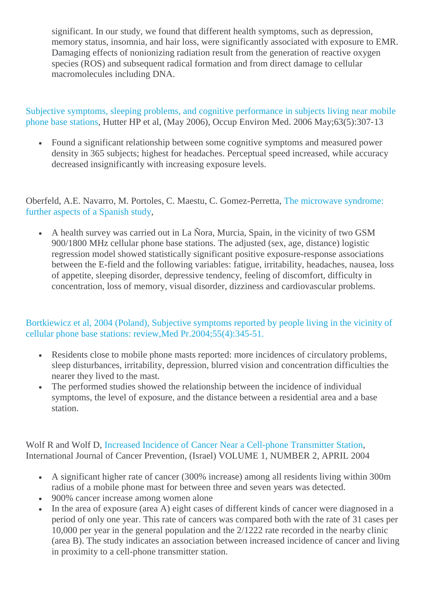significant. In our study, we found that different health symptoms, such as depression, memory status, insomnia, and hair loss, were significantly associated with exposure to EMR. Damaging effects of nonionizing radiation result from the generation of reactive oxygen species (ROS) and subsequent radical formation and from direct damage to cellular macromolecules including DNA.

[Subjective symptoms, sleeping problems, and cognitive performance in subjects living near mobile](http://www.ncbi.nlm.nih.gov/pubmed/16621850)  [phone base stations,](http://www.ncbi.nlm.nih.gov/pubmed/16621850) Hutter HP et al, (May 2006), Occup Environ Med. 2006 May;63(5):307‐13

 Found a significant relationship between some cognitive symptoms and measured power density in 365 subjects; highest for headaches. Perceptual speed increased, while accuracy decreased insignificantly with increasing exposure levels.

Oberfeld, A.E. Navarro, M. Portoles, C. Maestu, C. Gomez-Perretta, [The microwave syndrome:](http://www.powerwatch.org.uk/pdfs/20040809_kos.pdf)  [further aspects of a Spanish study,](http://www.powerwatch.org.uk/pdfs/20040809_kos.pdf)

 A health survey was carried out in La Ñora, Murcia, Spain, in the vicinity of two GSM 900/1800 MHz cellular phone base stations. The adjusted (sex, age, distance) logistic regression model showed statistically significant positive exposure-response associations between the E-field and the following variables: fatigue, irritability, headaches, nausea, loss of appetite, sleeping disorder, depressive tendency, feeling of discomfort, difficulty in concentration, loss of memory, visual disorder, dizziness and cardiovascular problems.

#### [Bortkiewicz et al, 2004 \(Poland\), Subjective symptoms reported by people living in the vicinity of](http://www.ncbi.nlm.nih.gov/pubmed/15620045)  [cellular phone base stations: review,Med Pr.2004;55\(4\):345-51.](http://www.ncbi.nlm.nih.gov/pubmed/15620045)

- Residents close to mobile phone masts reported: more incidences of circulatory problems, sleep disturbances, irritability, depression, blurred vision and concentration difficulties the nearer they lived to the mast.
- The performed studies showed the relationship between the incidence of individual symptoms, the level of exposure, and the distance between a residential area and a base station.

Wolf R and Wolf D, [Increased Incidence of Cancer Near a Cell-phone Transmitter Station,](http://www.powerwatch.org.uk/news/20050207_israel.pdf) International Journal of Cancer Prevention, (Israel) VOLUME 1, NUMBER 2, APRIL 2004

- A significant higher rate of cancer (300% increase) among all residents living within 300m radius of a mobile phone mast for between three and seven years was detected.
- 900% cancer increase among women alone
- In the area of exposure (area A) eight cases of different kinds of cancer were diagnosed in a period of only one year. This rate of cancers was compared both with the rate of 31 cases per 10,000 per year in the general population and the 2/1222 rate recorded in the nearby clinic (area B). The study indicates an association between increased incidence of cancer and living in proximity to a cell-phone transmitter station.